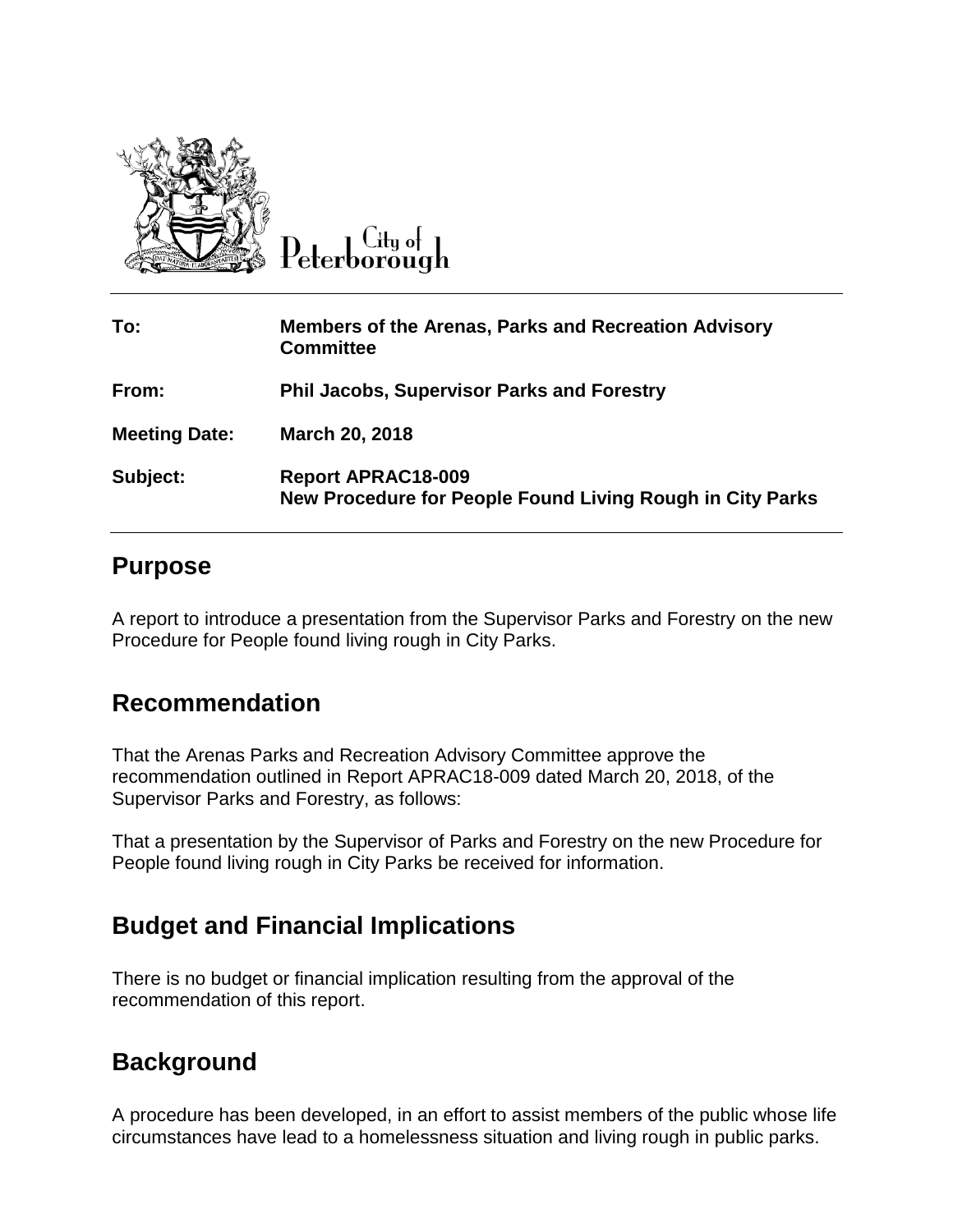

 $C$ ity of Peterborough

| To:                  | <b>Members of the Arenas, Parks and Recreation Advisory</b><br><b>Committee</b>        |
|----------------------|----------------------------------------------------------------------------------------|
| From:                | <b>Phil Jacobs, Supervisor Parks and Forestry</b>                                      |
| <b>Meeting Date:</b> | March 20, 2018                                                                         |
| Subject:             | <b>Report APRAC18-009</b><br>New Procedure for People Found Living Rough in City Parks |

## **Purpose**

A report to introduce a presentation from the Supervisor Parks and Forestry on the new Procedure for People found living rough in City Parks.

## **Recommendation**

That the Arenas Parks and Recreation Advisory Committee approve the recommendation outlined in Report APRAC18-009 dated March 20, 2018, of the Supervisor Parks and Forestry, as follows:

That a presentation by the Supervisor of Parks and Forestry on the new Procedure for People found living rough in City Parks be received for information.

## **Budget and Financial Implications**

There is no budget or financial implication resulting from the approval of the recommendation of this report.

## **Background**

A procedure has been developed, in an effort to assist members of the public whose life circumstances have lead to a homelessness situation and living rough in public parks.